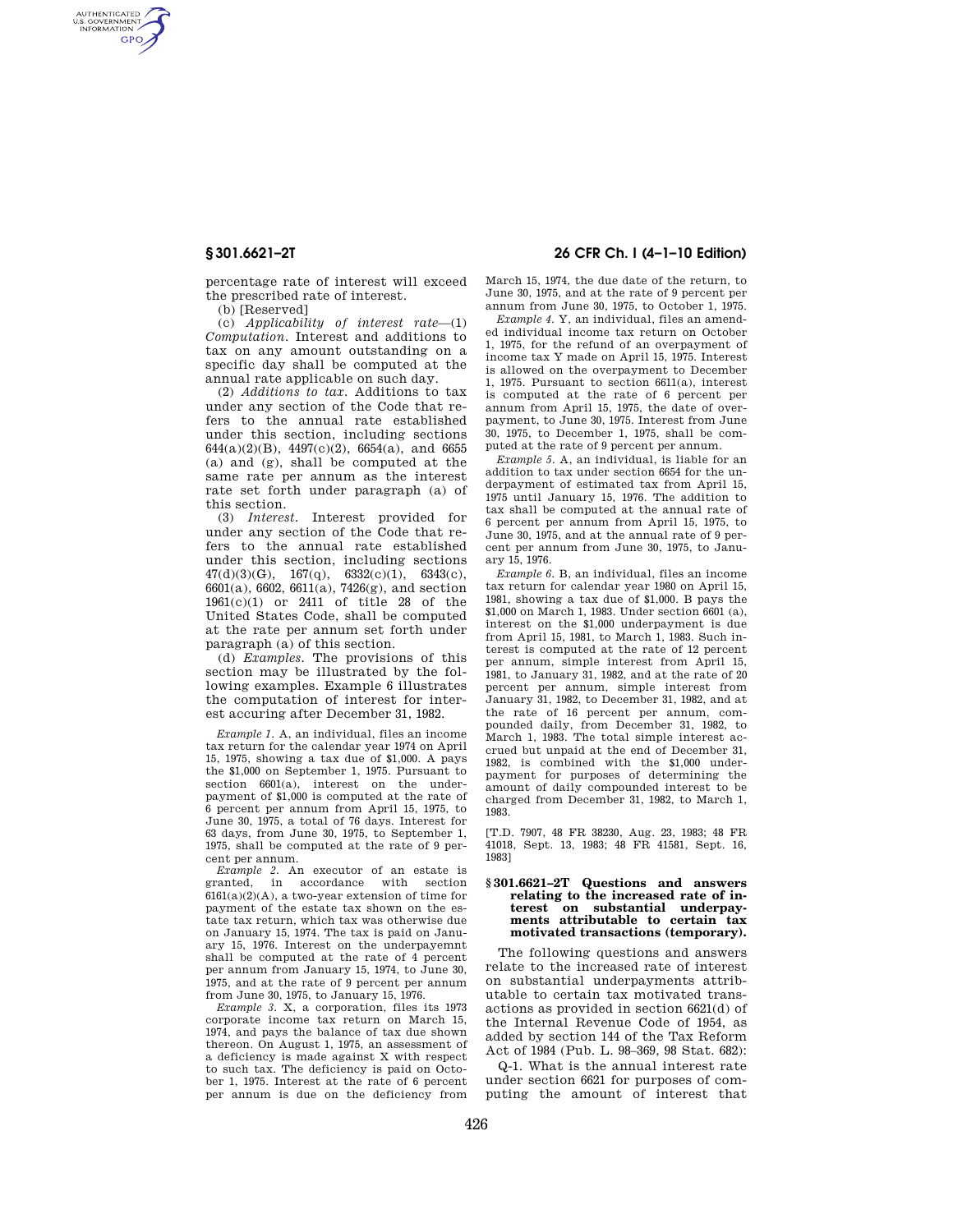AUTHENTICATED<br>U.S. GOVERNMENT<br>INFORMATION **GPO** 

> percentage rate of interest will exceed the prescribed rate of interest.

(b) [Reserved]

(c) *Applicability of interest rate*—(1) *Computation.* Interest and additions to tax on any amount outstanding on a specific day shall be computed at the annual rate applicable on such day.

(2) *Additions to tax.* Additions to tax under any section of the Code that refers to the annual rate established under this section, including sections 644(a)(2)(B), 4497(c)(2), 6654(a), and 6655 (a) and (g), shall be computed at the same rate per annum as the interest rate set forth under paragraph (a) of this section.

(3) *Interest.* Interest provided for under any section of the Code that refers to the annual rate established under this section, including sections  $47(d)(3)(G), 167(q), 6332(c)(1), 6343(c),$ 6601(a), 6602, 6611(a), 7426(g), and section 1961(c)(1) or 2411 of title 28 of the United States Code, shall be computed at the rate per annum set forth under paragraph (a) of this section.

(d) *Examples.* The provisions of this section may be illustrated by the following examples. Example 6 illustrates the computation of interest for interest accuring after December 31, 1982.

*Example 1.* A, an individual, files an income tax return for the calendar year 1974 on April 15, 1975, showing a tax due of \$1,000. A pays the \$1,000 on September 1, 1975. Pursuant to section 6601(a), interest on the underpayment of \$1,000 is computed at the rate of 6 percent per annum from April 15, 1975, to June 30, 1975, a total of 76 days. Interest for 63 days, from June 30, 1975, to September 1, 1975, shall be computed at the rate of 9 percent per annum.

*Example 2.* An executor of an estate is granted, in accordance with section  $6161(a)(2)(A)$ , a two-year extension of time for payment of the estate tax shown on the estate tax return, which tax was otherwise due on January 15, 1974. The tax is paid on January 15, 1976. Interest on the underpayemnt shall be computed at the rate of 4 percent per annum from January 15, 1974, to June 30, 1975, and at the rate of 9 percent per annum from June 30, 1975, to January 15, 1976.

*Example 3.* X, a corporation, files its 1973 corporate income tax return on March 15, 1974, and pays the balance of tax due shown thereon. On August 1, 1975, an assessment of a deficiency is made against X with respect to such tax. The deficiency is paid on October 1, 1975. Interest at the rate of 6 percent per annum is due on the deficiency from

## **§ 301.6621–2T 26 CFR Ch. I (4–1–10 Edition)**

March 15, 1974, the due date of the return, to June 30, 1975, and at the rate of 9 percent per annum from June 30, 1975, to October 1, 1975.

*Example 4.* Y, an individual, files an amended individual income tax return on October 1, 1975, for the refund of an overpayment of income tax Y made on April 15, 1975. Interest is allowed on the overpayment to December 1, 1975. Pursuant to section 6611(a), interest is computed at the rate of 6 percent per annum from April 15, 1975, the date of overpayment, to June 30, 1975. Interest from June 30, 1975, to December 1, 1975, shall be computed at the rate of 9 percent per annum.

*Example 5.* A, an individual, is liable for an addition to tax under section 6654 for the underpayment of estimated tax from April 15, 1975 until January 15, 1976. The addition to tax shall be computed at the annual rate of 6 percent per annum from April 15, 1975, to June 30, 1975, and at the annual rate of 9 percent per annum from June 30, 1975, to January 15, 1976.

*Example 6.* B, an individual, files an income tax return for calendar year 1980 on April 15, 1981, showing a tax due of \$1,000. B pays the \$1,000 on March 1, 1983. Under section 6601 (a), interest on the \$1,000 underpayment is due from April 15, 1981, to March 1, 1983. Such interest is computed at the rate of 12 percent per annum, simple interest from April 15, 1981, to January 31, 1982, and at the rate of 20 percent per annum, simple interest from January 31, 1982, to December 31, 1982, and at the rate of 16 percent per annum, compounded daily, from December 31, 1982, to March 1, 1983. The total simple interest accrued but unpaid at the end of December 31, 1982, is combined with the \$1,000 underpayment for purposes of determining the amount of daily compounded interest to be charged from December 31, 1982, to March 1, 1983.

[T.D. 7907, 48 FR 38230, Aug. 23, 1983; 48 FR 41018, Sept. 13, 1983; 48 FR 41581, Sept. 16, 1983]

### **§ 301.6621–2T Questions and answers relating to the increased rate of interest on substantial underpayments attributable to certain tax motivated transactions (temporary).**

The following questions and answers relate to the increased rate of interest on substantial underpayments attributable to certain tax motivated transactions as provided in section 6621(d) of the Internal Revenue Code of 1954, as added by section 144 of the Tax Reform Act of 1984 (Pub. L. 98–369, 98 Stat. 682):

Q-1. What is the annual interest rate under section 6621 for purposes of computing the amount of interest that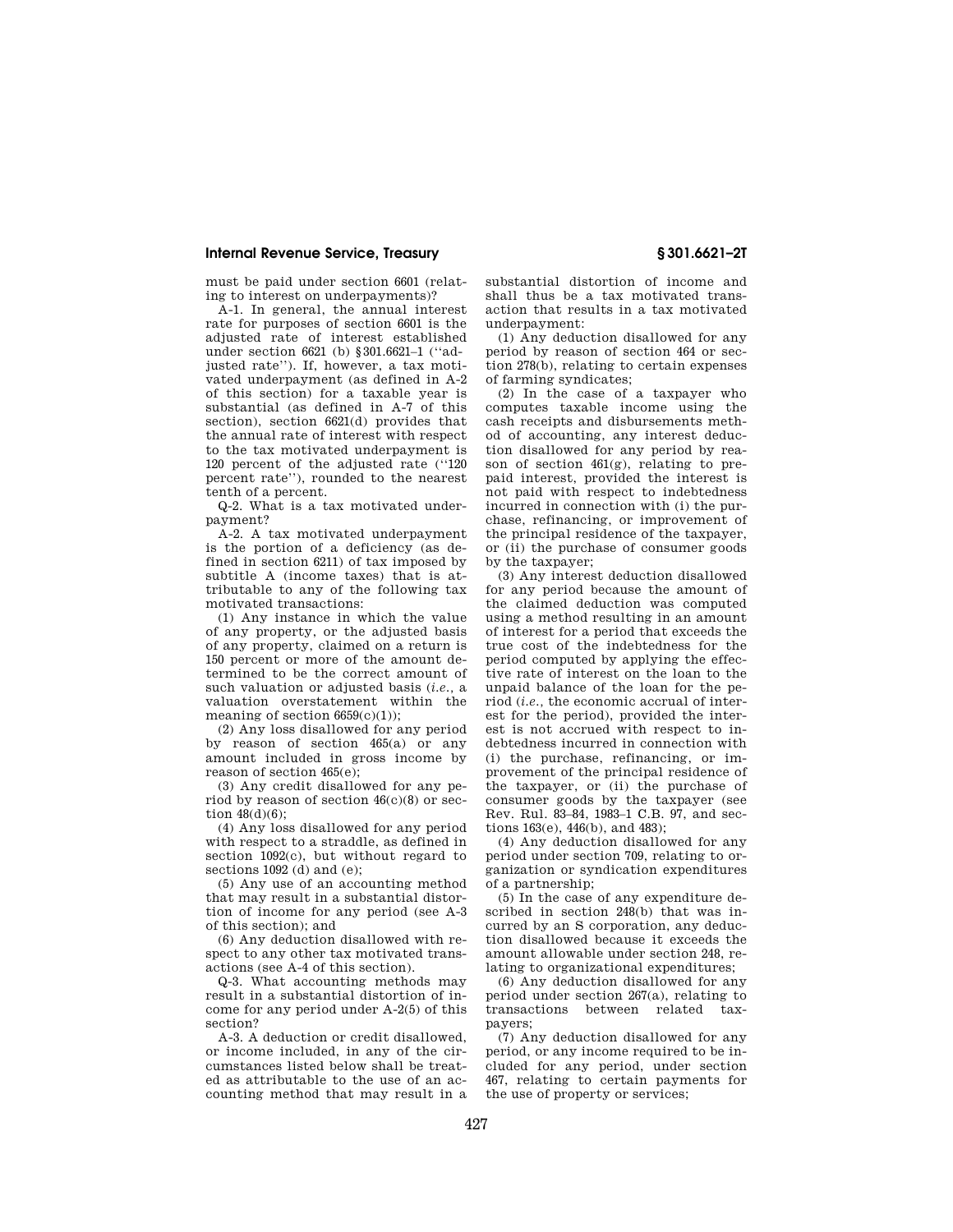## **Internal Revenue Service, Treasury § 301.6621–2T**

must be paid under section 6601 (relating to interest on underpayments)?

A-1. In general, the annual interest rate for purposes of section 6601 is the adjusted rate of interest established under section 6621 (b) §301.6621–1 (''adjusted rate''). If, however, a tax motivated underpayment (as defined in A-2 of this section) for a taxable year is substantial (as defined in A-7 of this section), section 6621(d) provides that the annual rate of interest with respect to the tax motivated underpayment is 120 percent of the adjusted rate (''120 percent rate''), rounded to the nearest tenth of a percent.

Q-2. What is a tax motivated underpayment?

A-2. A tax motivated underpayment is the portion of a deficiency (as defined in section 6211) of tax imposed by subtitle A (income taxes) that is attributable to any of the following tax motivated transactions:

(1) Any instance in which the value of any property, or the adjusted basis of any property, claimed on a return is 150 percent or more of the amount determined to be the correct amount of such valuation or adjusted basis (*i.e.,* a valuation overstatement within the meaning of section 6659(c)(1));

(2) Any loss disallowed for any period by reason of section 465(a) or any amount included in gross income by reason of section 465(e);

(3) Any credit disallowed for any period by reason of section 46(c)(8) or section  $48(d)(6)$ ;

(4) Any loss disallowed for any period with respect to a straddle, as defined in section 1092(c), but without regard to sections 1092 (d) and (e);

(5) Any use of an accounting method that may result in a substantial distortion of income for any period (see A-3 of this section); and

(6) Any deduction disallowed with respect to any other tax motivated transactions (see A-4 of this section).

Q-3. What accounting methods may result in a substantial distortion of income for any period under A-2(5) of this section?

A-3. A deduction or credit disallowed, or income included, in any of the circumstances listed below shall be treated as attributable to the use of an accounting method that may result in a substantial distortion of income and shall thus be a tax motivated transaction that results in a tax motivated underpayment:

(1) Any deduction disallowed for any period by reason of section 464 or section 278(b), relating to certain expenses of farming syndicates;

(2) In the case of a taxpayer who computes taxable income using the cash receipts and disbursements method of accounting, any interest deduction disallowed for any period by reason of section 461(g), relating to prepaid interest, provided the interest is not paid with respect to indebtedness incurred in connection with (i) the purchase, refinancing, or improvement of the principal residence of the taxpayer, or (ii) the purchase of consumer goods by the taxpayer;

(3) Any interest deduction disallowed for any period because the amount of the claimed deduction was computed using a method resulting in an amount of interest for a period that exceeds the true cost of the indebtedness for the period computed by applying the effective rate of interest on the loan to the unpaid balance of the loan for the period (*i.e.,* the economic accrual of interest for the period), provided the interest is not accrued with respect to indebtedness incurred in connection with (i) the purchase, refinancing, or improvement of the principal residence of the taxpayer, or (ii) the purchase of consumer goods by the taxpayer (see Rev. Rul. 83–84, 1983–1 C.B. 97, and sections 163(e), 446(b), and 483);

(4) Any deduction disallowed for any period under section 709, relating to organization or syndication expenditures of a partnership;

(5) In the case of any expenditure described in section 248(b) that was incurred by an S corporation, any deduction disallowed because it exceeds the amount allowable under section 248, relating to organizational expenditures;

(6) Any deduction disallowed for any period under section 267(a), relating to transactions between related taxpayers;

(7) Any deduction disallowed for any period, or any income required to be included for any period, under section 467, relating to certain payments for the use of property or services;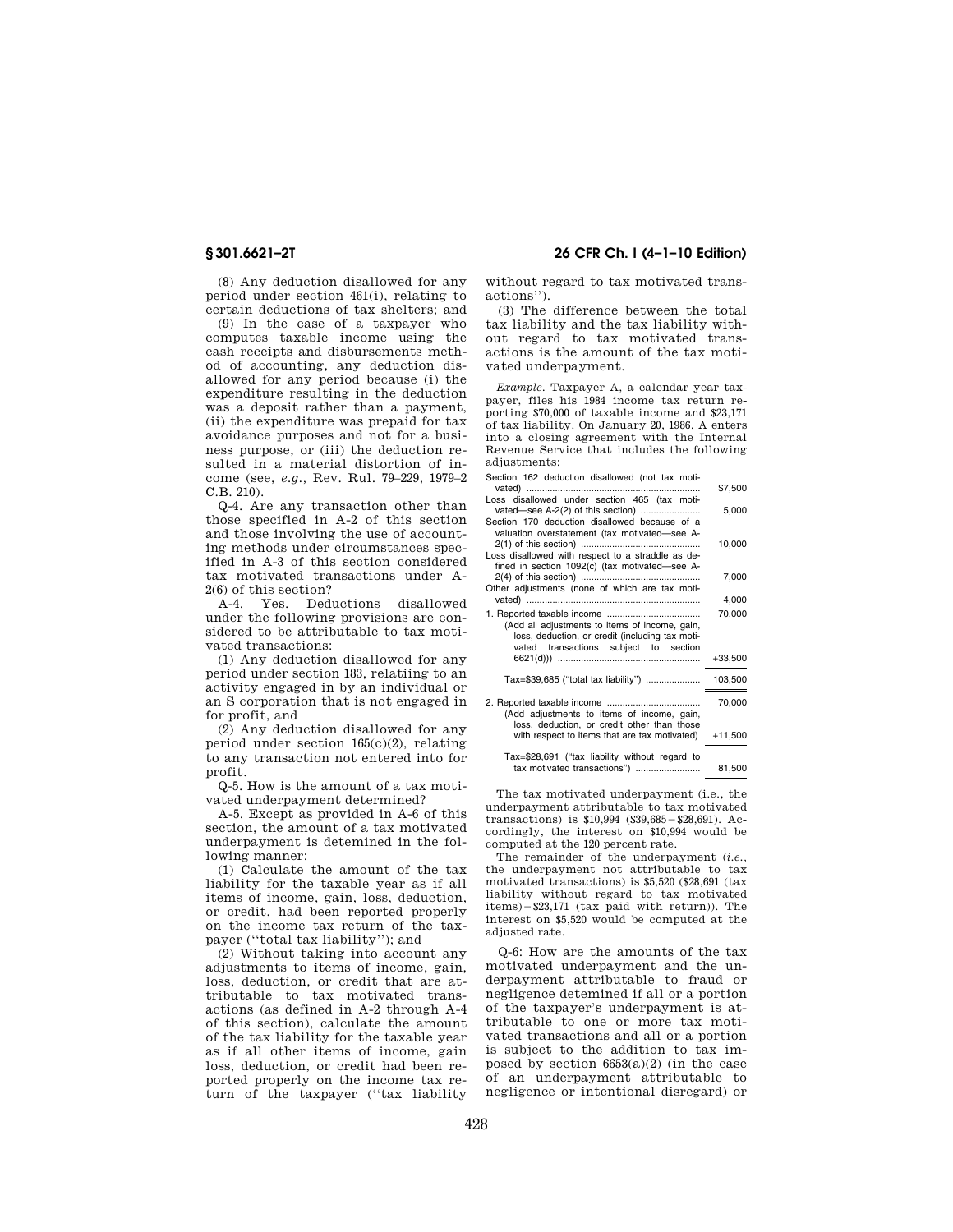(8) Any deduction disallowed for any period under section 461(i), relating to certain deductions of tax shelters; and

(9) In the case of a taxpayer who computes taxable income using the cash receipts and disbursements method of accounting, any deduction disallowed for any period because (i) the expenditure resulting in the deduction was a deposit rather than a payment, (ii) the expenditure was prepaid for tax avoidance purposes and not for a business purpose, or (iii) the deduction resulted in a material distortion of income (see, *e.g.,* Rev. Rul. 79–229, 1979–2 C.B. 210).

Q-4. Are any transaction other than those specified in A-2 of this section and those involving the use of accounting methods under circumstances specified in A-3 of this section considered tax motivated transactions under A-2(6) of this section?

A-4. Yes. Deductions disallowed under the following provisions are considered to be attributable to tax motivated transactions:

(1) Any deduction disallowed for any period under section 183, relatiing to an activity engaged in by an individual or an S corporation that is not engaged in for profit, and

(2) Any deduction disallowed for any period under section 165(c)(2), relating to any transaction not entered into for profit.

Q-5. How is the amount of a tax motivated underpayment determined?

A-5. Except as provided in A-6 of this section, the amount of a tax motivated underpayment is detemined in the following manner:

(1) Calculate the amount of the tax liability for the taxable year as if all items of income, gain, loss, deduction, or credit, had been reported properly on the income tax return of the taxpayer (''total tax liability''); and

(2) Without taking into account any adjustments to items of income, gain, loss, deduction, or credit that are attributable to tax motivated transactions (as defined in A-2 through A-4 of this section), calculate the amount of the tax liability for the taxable year as if all other items of income, gain loss, deduction, or credit had been reported properly on the income tax return of the taxpayer (''tax liability

# **§ 301.6621–2T 26 CFR Ch. I (4–1–10 Edition)**

without regard to tax motivated transactions'').

(3) The difference between the total tax liability and the tax liability without regard to tax motivated transactions is the amount of the tax motivated underpayment.

*Example.* Taxpayer A, a calendar year taxpayer, files his 1984 income tax return reporting \$70,000 of taxable income and \$23,171 of tax liability. On January 20, 1986, A enters into a closing agreement with the Internal Revenue Service that includes the following adjustments;

| Section 162 deduction disallowed (not tax moti-   |           |
|---------------------------------------------------|-----------|
|                                                   | \$7,500   |
| Loss disallowed under section 465 (tax moti-      |           |
|                                                   | 5,000     |
| Section 170 deduction disallowed because of a     |           |
| valuation overstatement (tax motivated-see A-     |           |
|                                                   | 10,000    |
| Loss disallowed with respect to a straddle as de- |           |
| fined in section 1092(c) (tax motivated-see A-    |           |
|                                                   | 7,000     |
| Other adjustments (none of which are tax moti-    |           |
|                                                   | 4,000     |
|                                                   | 70,000    |
| (Add all adjustments to items of income, gain,    |           |
| loss, deduction, or credit (including tax moti-   |           |
| vated transactions subject to section             |           |
|                                                   | $+33,500$ |
|                                                   |           |
|                                                   |           |
|                                                   | 70,000    |
| (Add adjustments to items of income, gain,        |           |
| loss, deduction, or credit other than those       |           |
| with respect to items that are tax motivated)     | $+11,500$ |
|                                                   |           |
| Tax=\$28,691 ("tax liability without regard to    |           |
| tax motivated transactions")                      | 81,500    |

The tax motivated underpayment (i.e., the underpayment attributable to tax motivated transactions) is  $$10,994$  ( $$39,685 - $28,691$ ). Accordingly, the interest on \$10,994 would be computed at the 120 percent rate.

The remainder of the underpayment (*i.e.,*  the underpayment not attributable to tax motivated transactions) is \$5,520 (\$28,691 (tax liability without regard to tax motivated  $items$ ) $-$ \$23,171 (tax paid with return)). The interest on \$5,520 would be computed at the adjusted rate.

Q-6: How are the amounts of the tax motivated underpayment and the underpayment attributable to fraud or negligence detemined if all or a portion of the taxpayer's underpayment is attributable to one or more tax motivated transactions and all or a portion is subject to the addition to tax imposed by section  $6653(a)(2)$  (in the case of an underpayment attributable to negligence or intentional disregard) or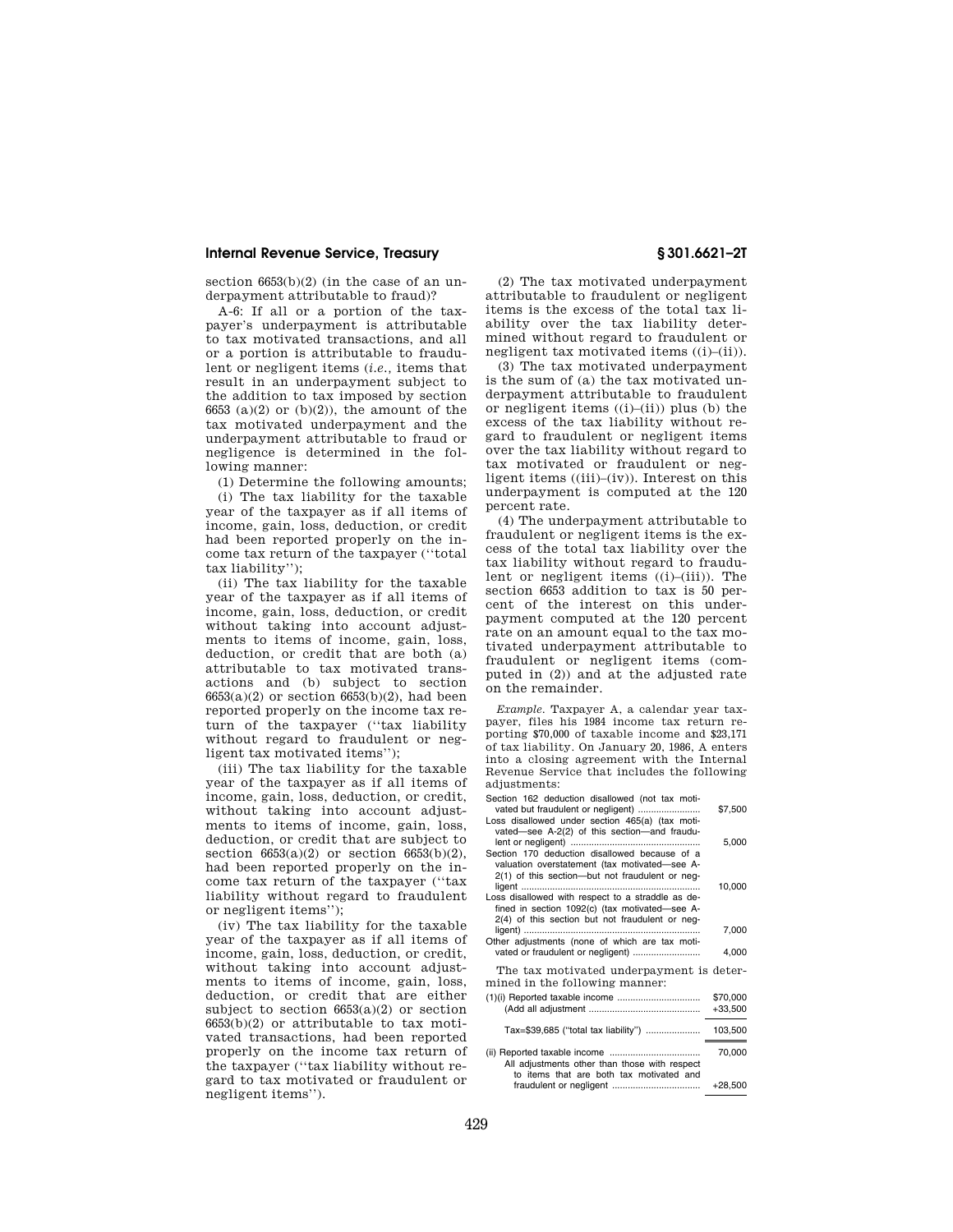## **Internal Revenue Service, Treasury § 301.6621–2T**

section  $6653(b)(2)$  (in the case of an underpayment attributable to fraud)?

A-6: If all or a portion of the taxpayer's underpayment is attributable to tax motivated transactions, and all or a portion is attributable to fraudulent or negligent items (*i.e.,* items that result in an underpayment subject to the addition to tax imposed by section 6653 (a)(2) or (b)(2)), the amount of the tax motivated underpayment and the underpayment attributable to fraud or negligence is determined in the following manner:

(1) Determine the following amounts;

(i) The tax liability for the taxable year of the taxpayer as if all items of income, gain, loss, deduction, or credit had been reported properly on the income tax return of the taxpayer (''total tax liability'');

(ii) The tax liability for the taxable year of the taxpayer as if all items of income, gain, loss, deduction, or credit without taking into account adjustments to items of income, gain, loss, deduction, or credit that are both (a) attributable to tax motivated transactions and (b) subject to section  $6653(a)(2)$  or section  $6653(b)(2)$ , had been reported properly on the income tax return of the taxpayer (''tax liability without regard to fraudulent or negligent tax motivated items'');

(iii) The tax liability for the taxable year of the taxpayer as if all items of income, gain, loss, deduction, or credit, without taking into account adjustments to items of income, gain, loss, deduction, or credit that are subject to section  $6653(a)(2)$  or section  $6653(b)(2)$ , had been reported properly on the income tax return of the taxpayer (''tax liability without regard to fraudulent or negligent items'');

(iv) The tax liability for the taxable year of the taxpayer as if all items of income, gain, loss, deduction, or credit, without taking into account adjustments to items of income, gain, loss, deduction, or credit that are either subject to section  $6653(a)(2)$  or section 6653(b)(2) or attributable to tax motivated transactions, had been reported properly on the income tax return of the taxpayer (''tax liability without regard to tax motivated or fraudulent or negligent items'').

(2) The tax motivated underpayment attributable to fraudulent or negligent items is the excess of the total tax liability over the tax liability determined without regard to fraudulent or negligent tax motivated items ((i)–(ii)).

(3) The tax motivated underpayment is the sum of (a) the tax motivated underpayment attributable to fraudulent or negligent items  $((i)–(ii))$  plus  $(b)$  the excess of the tax liability without regard to fraudulent or negligent items over the tax liability without regard to tax motivated or fraudulent or negligent items ((iii)–(iv)). Interest on this underpayment is computed at the 120 percent rate.

(4) The underpayment attributable to fraudulent or negligent items is the excess of the total tax liability over the tax liability without regard to fraudulent or negligent items ((i)–(iii)). The section 6653 addition to tax is 50 percent of the interest on this underpayment computed at the 120 percent rate on an amount equal to the tax motivated underpayment attributable to fraudulent or negligent items (computed in (2)) and at the adjusted rate on the remainder.

*Example.* Taxpayer A, a calendar year taxpayer, files his 1984 income tax return reporting \$70,000 of taxable income and \$23,171 of tax liability. On January 20, 1986, A enters into a closing agreement with the Internal Revenue Service that includes the following adjustments:

| Section 162 deduction disallowed (not tax moti-<br>vated but fraudulent or negligent)                                                                  | \$7,500               |
|--------------------------------------------------------------------------------------------------------------------------------------------------------|-----------------------|
| Loss disallowed under section 465(a) (tax moti-<br>vated-see A-2(2) of this section-and fraudu-<br>Section 170 deduction disallowed because of a       | 5,000                 |
| valuation overstatement (tax motivated-see A-<br>2(1) of this section-but not fraudulent or neg-                                                       | 10,000                |
| Loss disallowed with respect to a straddle as de-<br>fined in section 1092(c) (tax motivated-see A-<br>2(4) of this section but not fraudulent or neg- | 7,000                 |
| Other adjustments (none of which are tax moti-<br>vated or fraudulent or negligent)                                                                    | 4,000                 |
| The tax motivated underpayment is deter-<br>mined in the following manner:                                                                             |                       |
|                                                                                                                                                        | \$70,000<br>$+33,500$ |
| Tax=\$39,685 ("total tax liability")                                                                                                                   | 103,500               |
| All adjustments other than those with respect                                                                                                          | 70,000                |
| to items that are both tax motivated and                                                                                                               | $+28,500$             |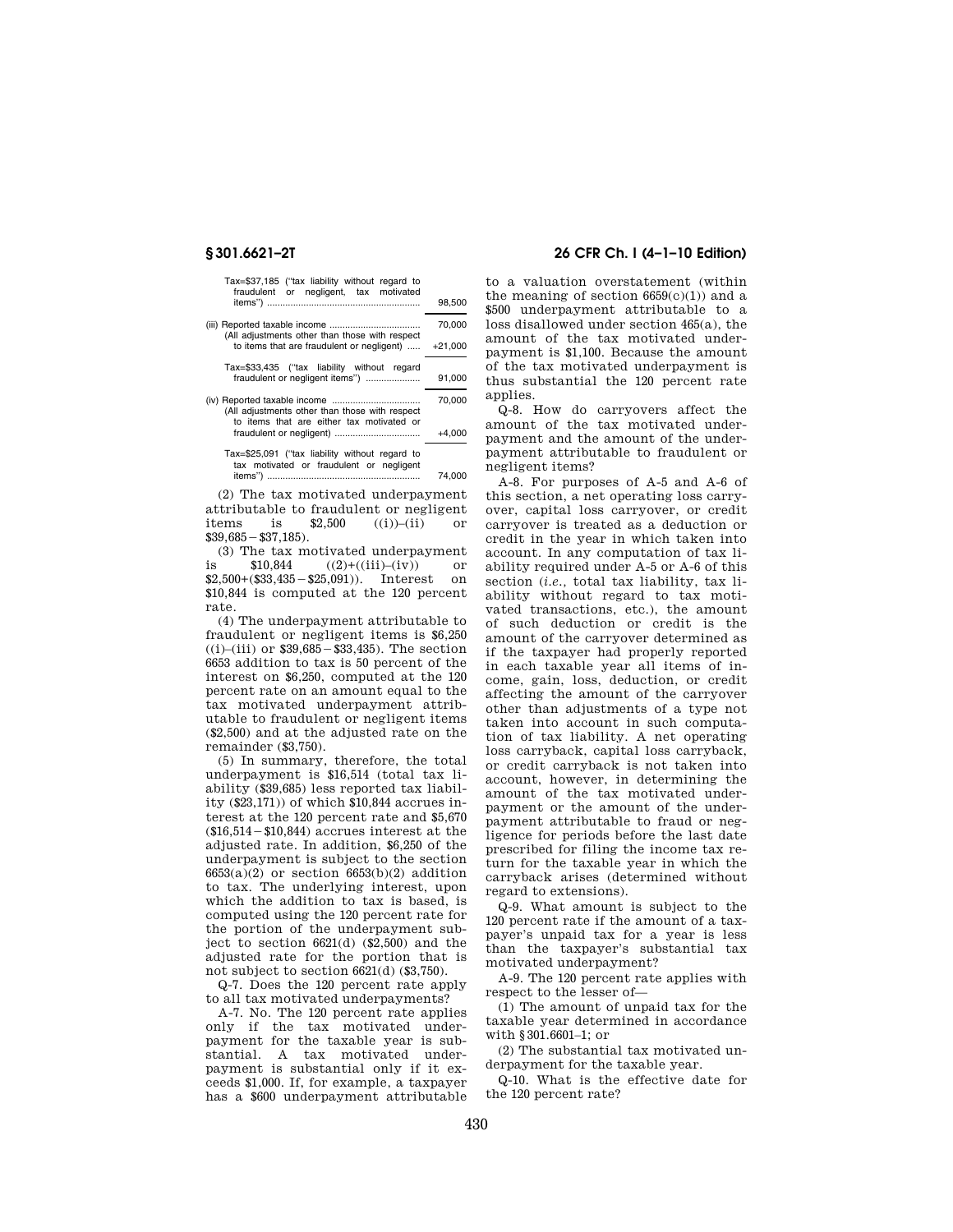|           | Tax=\$37,185 ("tax liability without regard to<br>fraudulent or negligent, tax motivated    |
|-----------|---------------------------------------------------------------------------------------------|
| 98.500    |                                                                                             |
| 70,000    | (All adjustments other than those with respect                                              |
| $+21,000$ | to items that are fraudulent or negligent)                                                  |
|           | Tax=\$33,435 ("tax liability without regard                                                 |
| 91,000    | fraudulent or negligent items")                                                             |
| 70,000    | (All adjustments other than those with respect<br>to items that are either tax motivated or |
| $+4,000$  |                                                                                             |
| 74.000    | Tax=\$25,091 ("tax liability without regard to<br>tax motivated or fraudulent or negligent  |

(2) The tax motivated underpayment attributable to fraudulent or negligent items is  $$2,500$  ((i))–(ii) or  $$39,685 - $37,185$ .

(3) The tax motivated underpayment is \$10,844 ((2)+((iii)–(iv)) or  $$2,500+($33,435-$25,091)$ ). Interest on \$10,844 is computed at the 120 percent rate.

(4) The underpayment attributable to fraudulent or negligent items is \$6,250  $((i)$ –(iii) or \$39,685 – \$33,435). The section 6653 addition to tax is 50 percent of the interest on \$6,250, computed at the 120 percent rate on an amount equal to the tax motivated underpayment attributable to fraudulent or negligent items (\$2,500) and at the adjusted rate on the remainder (\$3,750).

(5) In summary, therefore, the total underpayment is \$16,514 (total tax liability (\$39,685) less reported tax liability (\$23,171)) of which \$10,844 accrues interest at the 120 percent rate and \$5,670  $($16,514 - $10,844)$  accrues interest at the adjusted rate. In addition, \$6,250 of the underpayment is subject to the section 6653(a)(2) or section 6653(b)(2) addition to tax. The underlying interest, upon which the addition to tax is based, is computed using the 120 percent rate for the portion of the underpayment subject to section 6621(d) (\$2,500) and the adjusted rate for the portion that is not subject to section 6621(d) (\$3,750).

Q-7. Does the 120 percent rate apply to all tax motivated underpayments?

A-7. No. The 120 percent rate applies only if the tax motivated underpayment for the taxable year is substantial. A tax motivated underpayment is substantial only if it exceeds \$1,000. If, for example, a taxpayer has a \$600 underpayment attributable

# **§ 301.6621–2T 26 CFR Ch. I (4–1–10 Edition)**

to a valuation overstatement (within the meaning of section  $6659(c)(1)$  and a \$500 underpayment attributable to a loss disallowed under section 465(a), the amount of the tax motivated underpayment is \$1,100. Because the amount of the tax motivated underpayment is thus substantial the 120 percent rate applies.

Q-8. How do carryovers affect the amount of the tax motivated underpayment and the amount of the underpayment attributable to fraudulent or negligent items?

A-8. For purposes of A-5 and A-6 of this section, a net operating loss carryover, capital loss carryover, or credit carryover is treated as a deduction or credit in the year in which taken into account. In any computation of tax liability required under A-5 or A-6 of this section (*i.e.,* total tax liability, tax liability without regard to tax motivated transactions, etc.), the amount of such deduction or credit is the amount of the carryover determined as if the taxpayer had properly reported in each taxable year all items of income, gain, loss, deduction, or credit affecting the amount of the carryover other than adjustments of a type not taken into account in such computation of tax liability. A net operating loss carryback, capital loss carryback, or credit carryback is not taken into account, however, in determining the amount of the tax motivated underpayment or the amount of the underpayment attributable to fraud or negligence for periods before the last date prescribed for filing the income tax return for the taxable year in which the carryback arises (determined without regard to extensions).

Q-9. What amount is subject to the 120 percent rate if the amount of a taxpayer's unpaid tax for a year is less than the taxpayer's substantial tax motivated underpayment?

A-9. The 120 percent rate applies with respect to the lesser of—

(1) The amount of unpaid tax for the taxable year determined in accordance with §301.6601–1; or

(2) The substantial tax motivated underpayment for the taxable year.

Q-10. What is the effective date for the 120 percent rate?